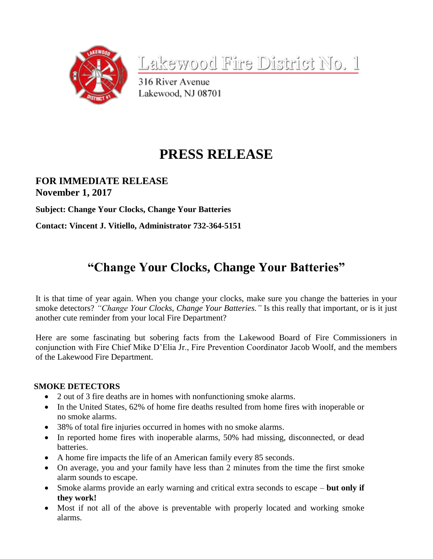

Lakewood Fire District No. 1

316 River Avenue Lakewood, NJ 08701

# **PRESS RELEASE**

### **FOR IMMEDIATE RELEASE November 1, 2017**

**Subject: Change Your Clocks, Change Your Batteries**

**Contact: Vincent J. Vitiello, Administrator 732-364-5151**

## **"Change Your Clocks, Change Your Batteries"**

It is that time of year again. When you change your clocks, make sure you change the batteries in your smoke detectors? *"Change Your Clocks, Change Your Batteries."* Is this really that important, or is it just another cute reminder from your local Fire Department?

Here are some fascinating but sobering facts from the Lakewood Board of Fire Commissioners in conjunction with Fire Chief Mike D'Elia Jr., Fire Prevention Coordinator Jacob Woolf, and the members of the Lakewood Fire Department.

#### **SMOKE DETECTORS**

- 2 out of 3 fire deaths are in homes with nonfunctioning smoke alarms.
- In the United States, 62% of home fire deaths resulted from home fires with inoperable or no smoke alarms.
- 38% of total fire injuries occurred in homes with no smoke alarms.
- In reported home fires with inoperable alarms, 50% had missing, disconnected, or dead batteries.
- A home fire impacts the life of an American family every 85 seconds.
- On average, you and your family have less than 2 minutes from the time the first smoke alarm sounds to escape.
- Smoke alarms provide an early warning and critical extra seconds to escape **but only if they work!**
- Most if not all of the above is preventable with properly located and working smoke alarms.